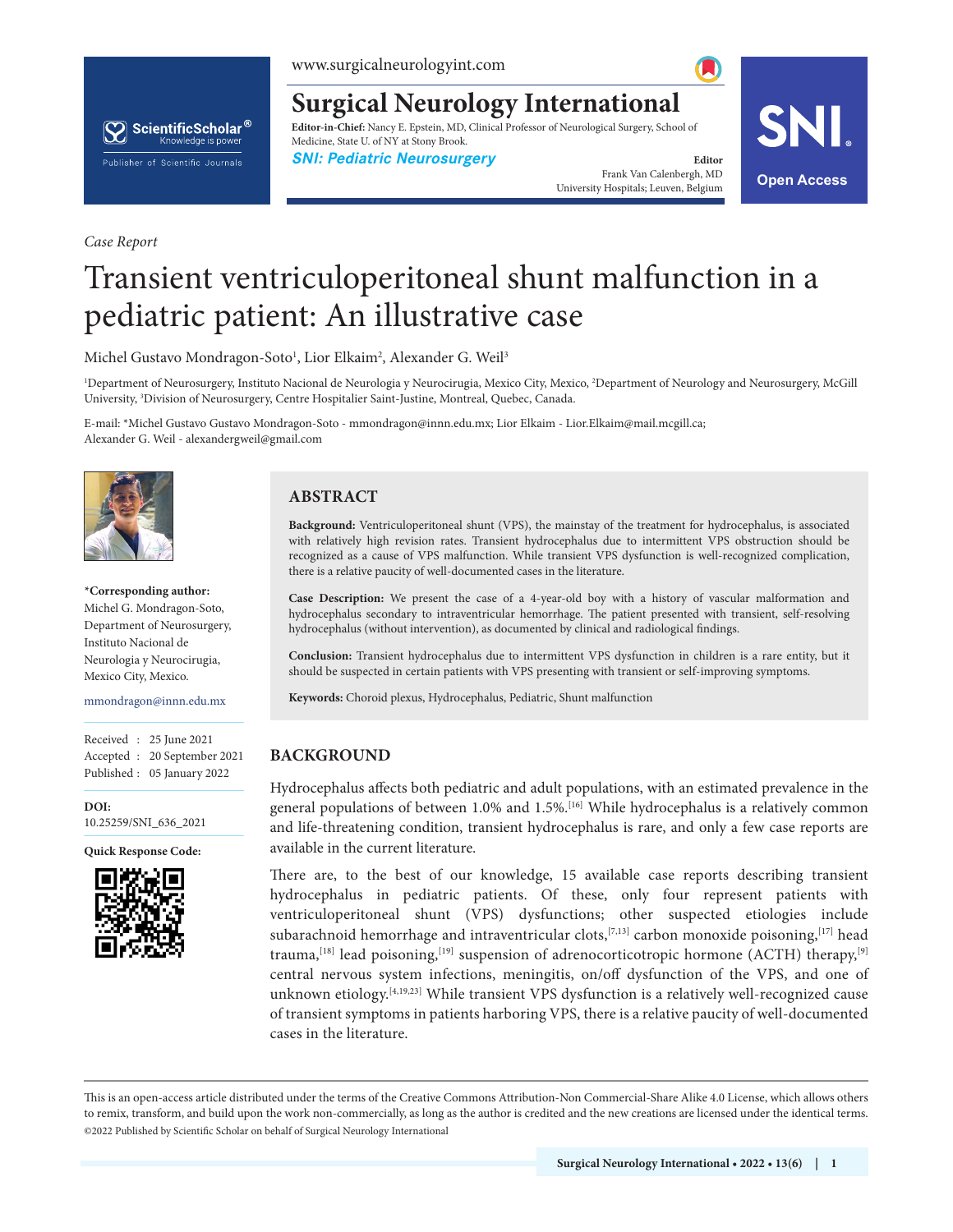www.surgicalneurologyint.com

## ScientificScholar<sup>®</sup> Knowledge is power Publisher of Scientific Journals

**Surgical Neurology International Editor-in-Chief:** Nancy E. Epstein, MD, Clinical Professor of Neurological Surgery, School of Medicine, State U. of NY at Stony Brook.

**SNI: Pediatric Neurosurgery Editor Editor** 

Frank Van Calenbergh, MD University Hospitals; Leuven, Belgium **Open Access**



# Transient ventriculoperitoneal shunt malfunction in a pediatric patient: An illustrative case

Michel Gustavo Mondragon-Soto<sup>1</sup>, Lior Elkaim<sup>2</sup>, Alexander G. Weil<sup>3</sup>

<sup>1</sup>Department of Neurosurgery, Instituto Nacional de Neurologia y Neurocirugia, Mexico City, Mexico, <sup>2</sup>Department of Neurology and Neurosurgery, McGill University, <sup>3</sup>Division of Neurosurgery, Centre Hospitalier Saint-Justine, Montreal, Quebec, Canada.

E-mail: \*Michel Gustavo Gustavo Mondragon-Soto - mmondragon@innn.edu.mx; Lior Elkaim - Lior.Elkaim@mail.mcgill.ca; Alexander G. Weil - alexandergweil@gmail.com



*Case Report*

**\*Corresponding author:** Michel G. Mondragon-Soto, Department of Neurosurgery, Instituto Nacional de Neurologia y Neurocirugia, Mexico City, Mexico.

mmondragon@innn.edu.mx

Received : 25 June 2021 Accepted : 20 September 2021 Published : 05 January 2022

**DOI:** 10.25259/SNI\_636\_2021

**Quick Response Code:**



## **ABSTRACT**

**Background:** Ventriculoperitoneal shunt (VPS), the mainstay of the treatment for hydrocephalus, is associated with relatively high revision rates. Transient hydrocephalus due to intermittent VPS obstruction should be recognized as a cause of VPS malfunction. While transient VPS dysfunction is well-recognized complication, there is a relative paucity of well-documented cases in the literature.

**Case Description:** We present the case of a 4-year-old boy with a history of vascular malformation and hydrocephalus secondary to intraventricular hemorrhage. The patient presented with transient, self-resolving hydrocephalus (without intervention), as documented by clinical and radiological findings.

**Conclusion:** Transient hydrocephalus due to intermittent VPS dysfunction in children is a rare entity, but it should be suspected in certain patients with VPS presenting with transient or self-improving symptoms.

**Keywords:** Choroid plexus, Hydrocephalus, Pediatric, Shunt malfunction

## **BACKGROUND**

Hydrocephalus affects both pediatric and adult populations, with an estimated prevalence in the general populations of between 1.0% and 1.5%.[16] While hydrocephalus is a relatively common and life-threatening condition, transient hydrocephalus is rare, and only a few case reports are available in the current literature.

There are, to the best of our knowledge, 15 available case reports describing transient hydrocephalus in pediatric patients. Of these, only four represent patients with ventriculoperitoneal shunt (VPS) dysfunctions; other suspected etiologies include subarachnoid hemorrhage and intraventricular clots,<sup>[7,13]</sup> carbon monoxide poisoning,<sup>[17]</sup> head trauma,<sup>[18]</sup> lead poisoning,<sup>[19]</sup> suspension of adrenocorticotropic hormone (ACTH) therapy,<sup>[9]</sup> central nervous system infections, meningitis, on/off dysfunction of the VPS, and one of unknown etiology.<sup>[4,19,23]</sup> While transient VPS dysfunction is a relatively well-recognized cause of transient symptoms in patients harboring VPS, there is a relative paucity of well-documented cases in the literature.

is is an open-access article distributed under the terms of the Creative Commons Attribution-Non Commercial-Share Alike 4.0 License, which allows others to remix, transform, and build upon the work non-commercially, as long as the author is credited and the new creations are licensed under the identical terms. ©2022 Published by Scientific Scholar on behalf of Surgical Neurology International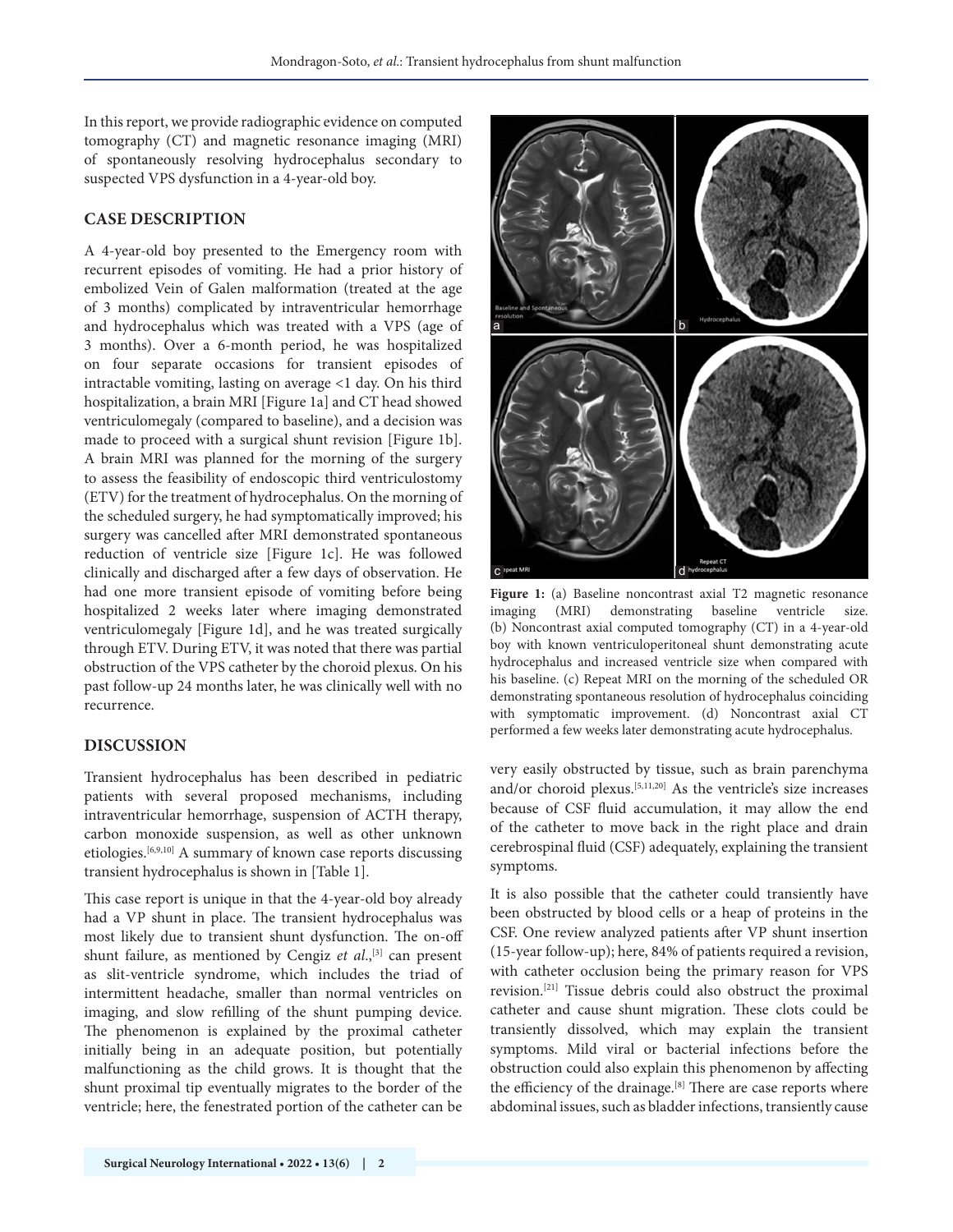In this report, we provide radiographic evidence on computed tomography (CT) and magnetic resonance imaging (MRI) of spontaneously resolving hydrocephalus secondary to suspected VPS dysfunction in a 4-year-old boy.

### **CASE DESCRIPTION**

A 4-year-old boy presented to the Emergency room with recurrent episodes of vomiting. He had a prior history of embolized Vein of Galen malformation (treated at the age of 3 months) complicated by intraventricular hemorrhage and hydrocephalus which was treated with a VPS (age of 3 months). Over a 6-month period, he was hospitalized on four separate occasions for transient episodes of intractable vomiting, lasting on average <1 day. On his third hospitalization, a brain MRI [Figure 1a] and CT head showed ventriculomegaly (compared to baseline), and a decision was made to proceed with a surgical shunt revision [Figure 1b]. A brain MRI was planned for the morning of the surgery to assess the feasibility of endoscopic third ventriculostomy (ETV) for the treatment of hydrocephalus. On the morning of the scheduled surgery, he had symptomatically improved; his surgery was cancelled after MRI demonstrated spontaneous reduction of ventricle size [Figure 1c]. He was followed clinically and discharged after a few days of observation. He had one more transient episode of vomiting before being hospitalized 2 weeks later where imaging demonstrated ventriculomegaly [Figure 1d], and he was treated surgically through ETV. During ETV, it was noted that there was partial obstruction of the VPS catheter by the choroid plexus. On his past follow-up 24 months later, he was clinically well with no recurrence.

## **DISCUSSION**

Transient hydrocephalus has been described in pediatric patients with several proposed mechanisms, including intraventricular hemorrhage, suspension of ACTH therapy, carbon monoxide suspension, as well as other unknown etiologies.[6,9,10] A summary of known case reports discussing transient hydrocephalus is shown in [Table 1].

This case report is unique in that the 4-year-old boy already had a VP shunt in place. The transient hydrocephalus was most likely due to transient shunt dysfunction. The on-off shunt failure, as mentioned by Cengiz et al.,<sup>[3]</sup> can present as slit-ventricle syndrome, which includes the triad of intermittent headache, smaller than normal ventricles on imaging, and slow refilling of the shunt pumping device. The phenomenon is explained by the proximal catheter initially being in an adequate position, but potentially malfunctioning as the child grows. It is thought that the shunt proximal tip eventually migrates to the border of the ventricle; here, the fenestrated portion of the catheter can be



**Figure 1:** (a) Baseline noncontrast axial T2 magnetic resonance imaging (MRI) demonstrating baseline ventricle size. (b) Noncontrast axial computed tomography (CT) in a 4-year-old boy with known ventriculoperitoneal shunt demonstrating acute hydrocephalus and increased ventricle size when compared with his baseline. (c) Repeat MRI on the morning of the scheduled OR demonstrating spontaneous resolution of hydrocephalus coinciding with symptomatic improvement. (d) Noncontrast axial CT performed a few weeks later demonstrating acute hydrocephalus.

very easily obstructed by tissue, such as brain parenchyma and/or choroid plexus.[5,11,20] As the ventricle's size increases because of CSF fluid accumulation, it may allow the end of the catheter to move back in the right place and drain cerebrospinal fluid (CSF) adequately, explaining the transient symptoms.

It is also possible that the catheter could transiently have been obstructed by blood cells or a heap of proteins in the CSF. One review analyzed patients after VP shunt insertion (15-year follow-up); here, 84% of patients required a revision, with catheter occlusion being the primary reason for VPS revision.[21] Tissue debris could also obstruct the proximal catheter and cause shunt migration. These clots could be transiently dissolved, which may explain the transient symptoms. Mild viral or bacterial infections before the obstruction could also explain this phenomenon by affecting the efficiency of the drainage.<sup>[8]</sup> There are case reports where abdominal issues, such as bladder infections, transiently cause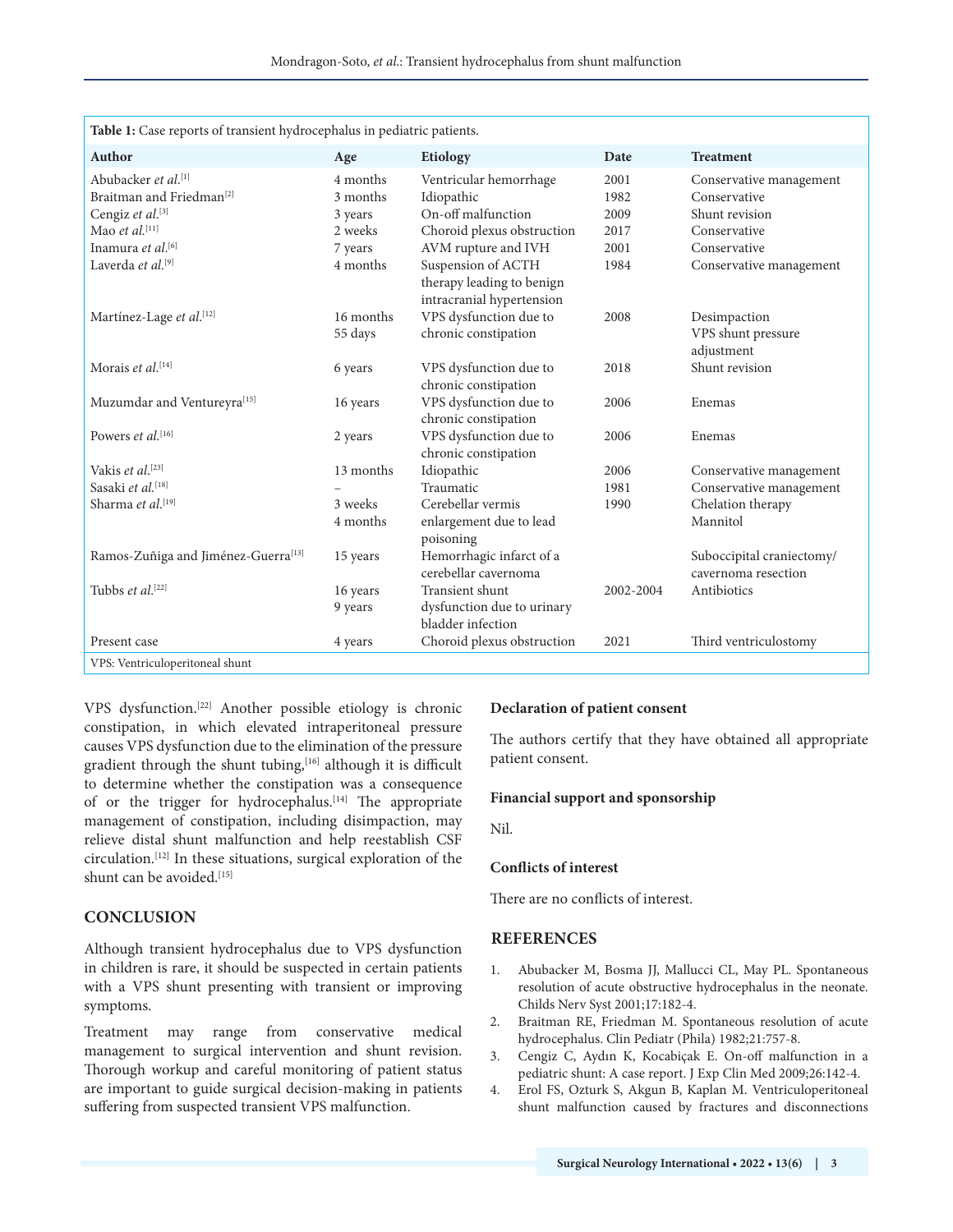| Table 1: Case reports of transient hydrocephalus in pediatric patients. |           |                                                                              |           |                                                  |
|-------------------------------------------------------------------------|-----------|------------------------------------------------------------------------------|-----------|--------------------------------------------------|
| <b>Author</b>                                                           | Age       | Etiology                                                                     | Date      | <b>Treatment</b>                                 |
| Abubacker et al.[1]                                                     | 4 months  | Ventricular hemorrhage                                                       | 2001      | Conservative management                          |
| Braitman and Friedman <sup>[2]</sup>                                    | 3 months  | Idiopathic                                                                   | 1982      | Conservative                                     |
| Cengiz et al.[3]                                                        | 3 years   | On-off malfunction                                                           | 2009      | Shunt revision                                   |
| Mao et al.[11]                                                          | 2 weeks   | Choroid plexus obstruction                                                   | 2017      | Conservative                                     |
| Inamura et al. <sup>[6]</sup>                                           | 7 years   | AVM rupture and IVH                                                          | 2001      | Conservative                                     |
| Laverda et al. <sup>[9]</sup>                                           | 4 months  | Suspension of ACTH<br>therapy leading to benign<br>intracranial hypertension | 1984      | Conservative management                          |
| Martínez-Lage et al.[12]                                                | 16 months | VPS dysfunction due to                                                       | 2008      | Desimpaction                                     |
|                                                                         | 55 days   | chronic constipation                                                         |           | VPS shunt pressure<br>adjustment                 |
| Morais et al. $[14]$                                                    | 6 years   | VPS dysfunction due to<br>chronic constipation                               | 2018      | Shunt revision                                   |
| Muzumdar and Ventureyra <sup>[15]</sup>                                 | 16 years  | VPS dysfunction due to<br>chronic constipation                               | 2006      | Enemas                                           |
| Powers et al. <sup>[16]</sup>                                           | 2 years   | VPS dysfunction due to<br>chronic constipation                               | 2006      | Enemas                                           |
| Vakis et al. <sup>[23]</sup>                                            | 13 months | Idiopathic                                                                   | 2006      | Conservative management                          |
| Sasaki et al. <sup>[18]</sup>                                           |           | Traumatic                                                                    | 1981      | Conservative management                          |
| Sharma et al.[19]                                                       | 3 weeks   | Cerebellar vermis                                                            | 1990      | Chelation therapy                                |
|                                                                         | 4 months  | enlargement due to lead<br>poisoning                                         |           | Mannitol                                         |
| Ramos-Zuñiga and Jiménez-Guerra <sup>[13]</sup>                         | 15 years  | Hemorrhagic infarct of a<br>cerebellar cavernoma                             |           | Suboccipital craniectomy/<br>cavernoma resection |
| Tubbs et al.[22]                                                        | 16 years  | Transient shunt                                                              | 2002-2004 | Antibiotics                                      |
|                                                                         | 9 years   | dysfunction due to urinary<br>bladder infection                              |           |                                                  |
| Present case                                                            | 4 years   | Choroid plexus obstruction                                                   | 2021      | Third ventriculostomy                            |
| VPS: Ventriculoperitoneal shunt                                         |           |                                                                              |           |                                                  |

VPS dysfunction.[22] Another possible etiology is chronic constipation, in which elevated intraperitoneal pressure causes VPS dysfunction due to the elimination of the pressure gradient through the shunt tubing,<sup>[16]</sup> although it is difficult to determine whether the constipation was a consequence of or the trigger for hydrocephalus.<sup>[14]</sup> The appropriate management of constipation, including disimpaction, may relieve distal shunt malfunction and help reestablish CSF circulation.[12] In these situations, surgical exploration of the shunt can be avoided. $[15]$ 

## **CONCLUSION**

Although transient hydrocephalus due to VPS dysfunction in children is rare, it should be suspected in certain patients with a VPS shunt presenting with transient or improving symptoms.

Treatment may range from conservative medical management to surgical intervention and shunt revision. Thorough workup and careful monitoring of patient status are important to guide surgical decision-making in patients suffering from suspected transient VPS malfunction.

#### **Declaration of patient consent**

The authors certify that they have obtained all appropriate patient consent.

#### **Financial support and sponsorship**

Nil.

#### **Conflicts of interest**

There are no conflicts of interest.

#### **REFERENCES**

- 1. Abubacker M, Bosma JJ, Mallucci CL, May PL. Spontaneous resolution of acute obstructive hydrocephalus in the neonate. Childs Nerv Syst 2001;17:182-4.
- 2. Braitman RE, Friedman M. Spontaneous resolution of acute hydrocephalus. Clin Pediatr (Phila) 1982;21:757-8.
- 3. Cengiz C, Aydın K, Kocabiçak E. On-off malfunction in a pediatric shunt: A case report. J Exp Clin Med 2009;26:142-4.
- 4. Erol FS, Ozturk S, Akgun B, Kaplan M. Ventriculoperitoneal shunt malfunction caused by fractures and disconnections